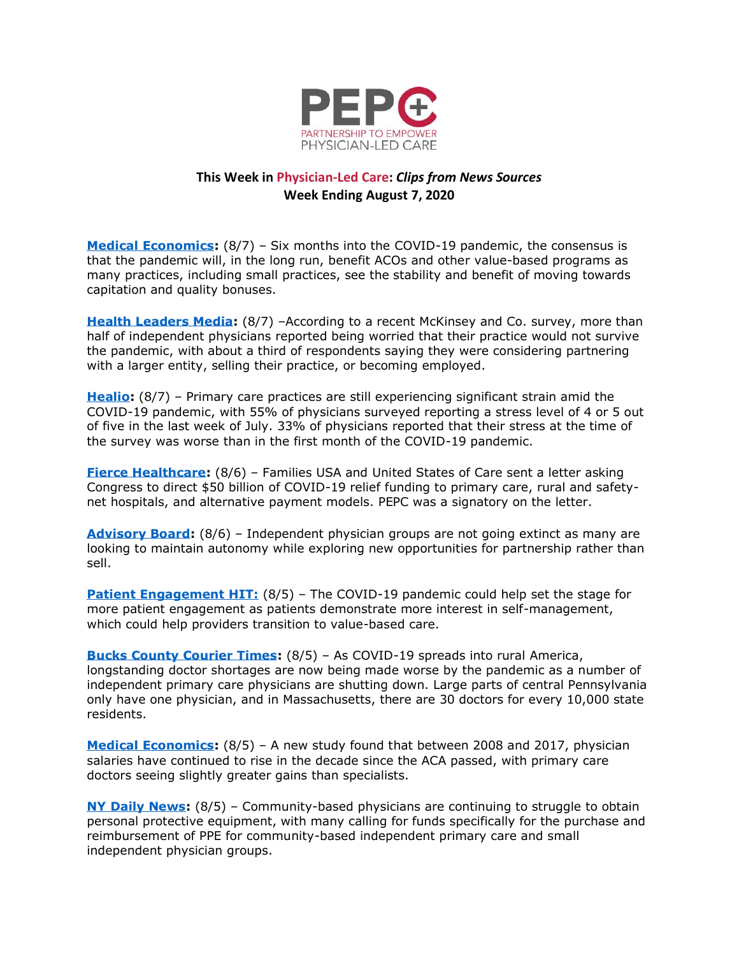

## **This Week in Physician-Led Care:** *Clips from News Sources* **Week Ending August 7, 2020**

**[Medical Economics:](https://www.medicaleconomics.com/view/what-will-covid-19-mean-for-value-based-models)** (8/7) – Six months into the COVID-19 pandemic, the consensus is that the pandemic will, in the long run, benefit ACOs and other value-based programs as many practices, including small practices, see the stability and benefit of moving towards capitation and quality bonuses.

**[Health Leaders Media:](https://www.healthleadersmedia.com/clinical-care/coronavirus-pandemic-influencing-physician-practice-acquisition-market)** (8/7) -According to a recent McKinsey and Co. survey, more than half of independent physicians reported being worried that their practice would not survive the pandemic, with about a third of respondents saying they were considering partnering with a larger entity, selling their practice, or becoming employed.

**[Healio:](https://www.healio.com/news/primary-care/20200807/stress-remains-high-among-primary-care-practices-amid-covid19-pandemic)** (8/7) – Primary care practices are still experiencing significant strain amid the COVID-19 pandemic, with 55% of physicians surveyed reporting a stress level of 4 or 5 out of five in the last week of July. 33% of physicians reported that their stress at the time of the survey was worse than in the first month of the COVID-19 pandemic.

**[Fierce Healthcare:](https://www.fiercehealthcare.com/hospitals/advocacy-groups-push-50b-to-providers-and-to-install-payment-reforms)** (8/6) – Families USA and United States of Care sent a letter asking Congress to direct \$50 billion of COVID-19 relief funding to primary care, rural and safetynet hospitals, and alternative payment models. PEPC was a signatory on the letter.

**[Advisory Board:](https://www.advisory.com/daily-briefing/2020/08/06/radio-advisory)** (8/6) – Independent physician groups are not going extinct as many are looking to maintain autonomy while exploring new opportunities for partnership rather than sell.

**[Patient Engagement HIT:](https://patientengagementhit.com/news/can-patient-reticence-for-care-access-spur-on-value-based-care)** (8/5) – The COVID-19 pandemic could help set the stage for more patient engagement as patients demonstrate more interest in self-management, which could help providers transition to value-based care.

**[Bucks County Courier Times:](https://www.buckscountycouriertimes.com/news/20200805/covid-creeping-into-towns-without-doctors)** (8/5) – As COVID-19 spreads into rural America, longstanding doctor shortages are now being made worse by the pandemic as a number of independent primary care physicians are shutting down. Large parts of central Pennsylvania only have one physician, and in Massachusetts, there are 30 doctors for every 10,000 state residents.

**[Medical Economics:](https://www.medicaleconomics.com/view/primary-care-specialist-pay-gap-narrowed-slightly-under-aca-study)** (8/5) – A new study found that between 2008 and 2017, physician salaries have continued to rise in the decade since the ACA passed, with primary care doctors seeing slightly greater gains than specialists.

**[NY Daily News:](https://www.nydailynews.com/opinion/ny-oped-community-based-physicians-need-federal-help-getting-ppe-20200805-2nc2szqpgbew3kg4yngpovszli-story.html)** (8/5) – Community-based physicians are continuing to struggle to obtain personal protective equipment, with many calling for funds specifically for the purchase and reimbursement of PPE for community-based independent primary care and small independent physician groups.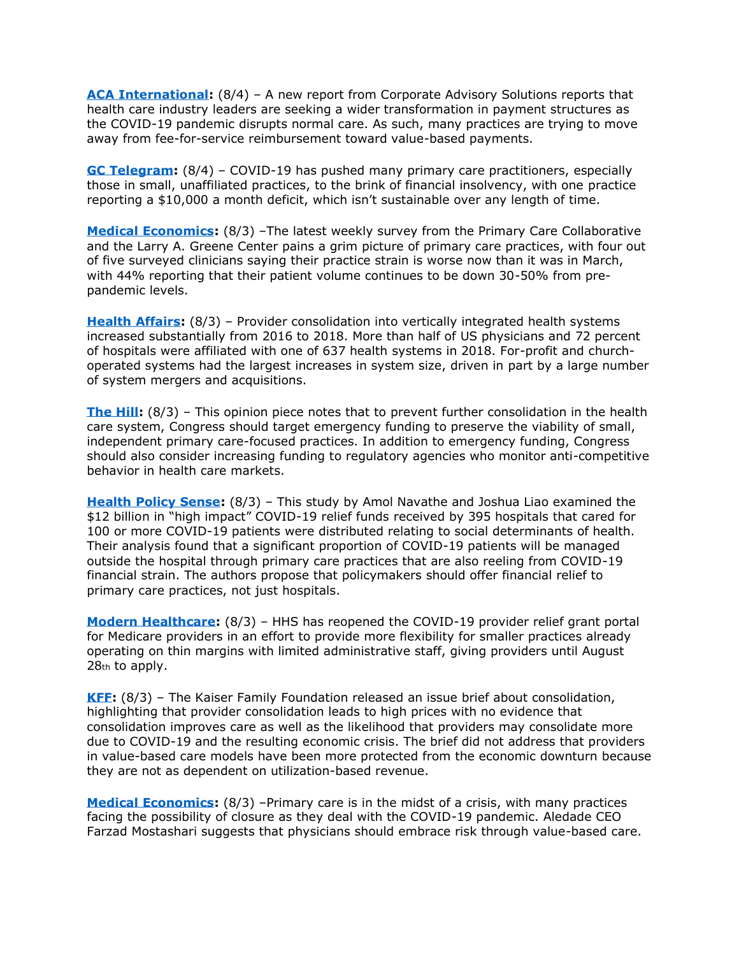**[ACA International:](https://www.acainternational.org/news/how-the-pandemic-is-transforming-payment-structures-for-the-healthcare-industry)** (8/4) – A new report from Corporate Advisory Solutions reports that health care industry leaders are seeking a wider transformation in payment structures as the COVID-19 pandemic disrupts normal care. As such, many practices are trying to move away from fee-for-service reimbursement toward value-based payments.

**[GC Telegram:](https://www.gctelegram.com/news/20200804/patients-flee-primary-care-as-covid-19-hit)** (8/4) – COVID-19 has pushed many primary care practitioners, especially those in small, unaffiliated practices, to the brink of financial insolvency, with one practice reporting a \$10,000 a month deficit, which isn't sustainable over any length of time.

**[Medical Economics:](https://www.medicaleconomics.com/view/coronavirus-new-normal-poses-threat-to-independent-primary-care)** (8/3) –The latest weekly survey from the Primary Care Collaborative and the Larry A. Greene Center pains a grim picture of primary care practices, with four out of five surveyed clinicians saying their practice strain is worse now than it was in March, with 44% reporting that their patient volume continues to be down 30-50% from prepandemic levels.

**[Health Affairs:](https://www.healthaffairs.org/doi/10.1377/hlthaff.2020.00017)** (8/3) – Provider consolidation into vertically integrated health systems increased substantially from 2016 to 2018. More than half of US physicians and 72 percent of hospitals were affiliated with one of 637 health systems in 2018. For-profit and churchoperated systems had the largest increases in system size, driven in part by a large number of system mergers and acquisitions.

**[The Hill:](https://thehill.com/opinion/healthcare/510301-congress-must-act-to-preserve-independent-primary-care-practices)** (8/3) – This opinion piece notes that to prevent further consolidation in the health care system, Congress should target emergency funding to preserve the viability of small, independent primary care-focused practices. In addition to emergency funding, Congress should also consider increasing funding to regulatory agencies who monitor anti-competitive behavior in health care markets.

**[Health Policy Sense:](https://ldi.upenn.edu/healthpolicysense/social-determinants-among-communities-receiving-early-covid-19-relief-funds)** (8/3) – This study by Amol Navathe and Joshua Liao examined the \$12 billion in "high impact" COVID-19 relief funds received by 395 hospitals that cared for 100 or more COVID-19 patients were distributed relating to social determinants of health. Their analysis found that a significant proportion of COVID-19 patients will be managed outside the hospital through primary care practices that are also reeling from COVID-19 financial strain. The authors propose that policymakers should offer financial relief to primary care practices, not just hospitals.

**[Modern Healthcare:](https://www.modernhealthcare.com/finance/hhs-reopens-covid-19-relief-grant-portal-medicare-providers)** (8/3) – HHS has reopened the COVID-19 provider relief grant portal for Medicare providers in an effort to provide more flexibility for smaller practices already operating on thin margins with limited administrative staff, giving providers until August 28th to apply.

**[KFF:](https://twitter.com/PEPC_DC/status/1290750516344107015)** (8/3) – The Kaiser Family Foundation released an issue brief about consolidation, highlighting that provider consolidation leads to high prices with no evidence that consolidation improves care as well as the likelihood that providers may consolidate more due to COVID-19 and the resulting economic crisis. The brief did not address that providers in value-based care models have been more protected from the economic downturn because they are not as dependent on utilization-based revenue.

**[Medical Economics:](https://www.medicaleconomics.com/view/how-value-based-care-can-save-your)** (8/3) –Primary care is in the midst of a crisis, with many practices facing the possibility of closure as they deal with the COVID-19 pandemic. Aledade CEO Farzad Mostashari suggests that physicians should embrace risk through value-based care.